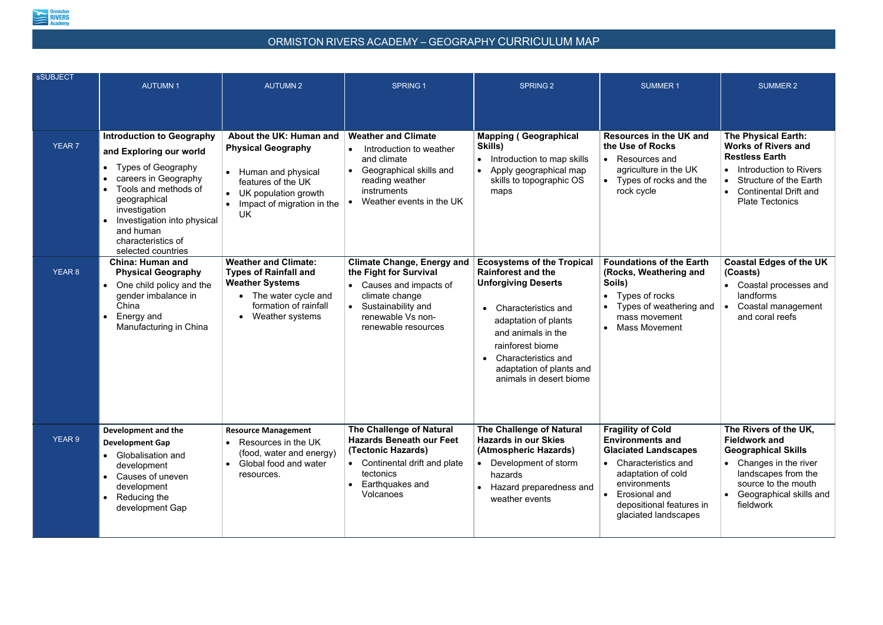

## ORMISTON RIVERS ACADEMY – GEOGRAPHY CURRICULUM MAP

| <b>sSUBJECT</b> | <b>AUTUMN1</b>                                                                                                                                                                                                                                             | <b>AUTUMN2</b>                                                                                                                                                        | <b>SPRING 1</b>                                                                                                                                                          | <b>SPRING 2</b>                                                                                                                                                                                                                                                              | <b>SUMMER 1</b>                                                                                                                                                                                                                   | <b>SUMMER 2</b>                                                                                                                                                                                                                  |
|-----------------|------------------------------------------------------------------------------------------------------------------------------------------------------------------------------------------------------------------------------------------------------------|-----------------------------------------------------------------------------------------------------------------------------------------------------------------------|--------------------------------------------------------------------------------------------------------------------------------------------------------------------------|------------------------------------------------------------------------------------------------------------------------------------------------------------------------------------------------------------------------------------------------------------------------------|-----------------------------------------------------------------------------------------------------------------------------------------------------------------------------------------------------------------------------------|----------------------------------------------------------------------------------------------------------------------------------------------------------------------------------------------------------------------------------|
|                 |                                                                                                                                                                                                                                                            |                                                                                                                                                                       |                                                                                                                                                                          |                                                                                                                                                                                                                                                                              |                                                                                                                                                                                                                                   |                                                                                                                                                                                                                                  |
| <b>YEAR 7</b>   | <b>Introduction to Geography</b><br>and Exploring our world<br>Types of Geography<br>careers in Geography<br>Tools and methods of<br>geographical<br>investigation<br>Investigation into physical<br>and human<br>characteristics of<br>selected countries | About the UK: Human and<br><b>Physical Geography</b><br>• Human and physical<br>features of the UK<br>UK population growth<br>Impact of migration in the<br>UK        | <b>Weather and Climate</b><br>Introduction to weather<br>and climate<br>Geographical skills and<br>reading weather<br>instruments<br>Weather events in the UK            | <b>Mapping (Geographical</b><br>Skills)<br>Introduction to map skills<br>Apply geographical map<br>skills to topographic OS<br>maps                                                                                                                                          | <b>Resources in the UK and</b><br>the Use of Rocks<br>Resources and<br>$\bullet$<br>agriculture in the UK<br>Types of rocks and the<br>rock cycle                                                                                 | <b>The Physical Earth:</b><br><b>Works of Rivers and</b><br><b>Restless Earth</b><br>Introduction to Rivers<br>$\bullet$<br><b>Structure of the Earth</b><br><b>Continental Drift and</b><br>$\bullet$<br><b>Plate Tectonics</b> |
| <b>YEAR 8</b>   | <b>China: Human and</b><br><b>Physical Geography</b><br>One child policy and the<br>gender imbalance in<br>China<br>Energy and<br>Manufacturing in China                                                                                                   | <b>Weather and Climate:</b><br><b>Types of Rainfall and</b><br><b>Weather Systems</b><br>The water cycle and<br>$\bullet$<br>formation of rainfall<br>Weather systems | <b>Climate Change, Energy and</b><br>the Fight for Survival<br>Causes and impacts of<br>climate change<br>Sustainability and<br>renewable Vs non-<br>renewable resources | <b>Ecosystems of the Tropical</b><br><b>Rainforest and the</b><br><b>Unforgiving Deserts</b><br><b>Characteristics and</b><br>adaptation of plants<br>and animals in the<br>rainforest biome<br>• Characteristics and<br>adaptation of plants and<br>animals in desert biome | <b>Foundations of the Earth</b><br>(Rocks, Weathering and<br>Soils)<br>Types of rocks<br>$\bullet$<br>Types of weathering and<br>mass movement<br><b>Mass Movement</b>                                                            | <b>Coastal Edges of the UK</b><br>(Coasts)<br>Coastal processes and<br>landforms<br>Coastal management<br>and coral reefs                                                                                                        |
| <b>YEAR 9</b>   | Development and the<br><b>Development Gap</b><br><b>Globalisation and</b><br>development<br>Causes of uneven<br>development<br>Reducing the<br>development Gap                                                                                             | <b>Resource Management</b><br>Resources in the UK<br>(food, water and energy)<br>Global food and water<br>$\bullet$<br>resources.                                     | <b>The Challenge of Natural</b><br><b>Hazards Beneath our Feet</b><br>(Tectonic Hazards)<br>Continental drift and plate<br>tectonics<br>Earthquakes and<br>Volcanoes     | <b>The Challenge of Natural</b><br><b>Hazards in our Skies</b><br>(Atmospheric Hazards)<br>Development of storm<br>hazards<br>Hazard preparedness and<br>weather events                                                                                                      | <b>Fragility of Cold</b><br><b>Environments and</b><br><b>Glaciated Landscapes</b><br>Characteristics and<br>$\bullet$<br>adaptation of cold<br>environments<br>Erosional and<br>depositional features in<br>glaciated landscapes | The Rivers of the UK,<br><b>Fieldwork and</b><br><b>Geographical Skills</b><br>Changes in the river<br>landscapes from the<br>source to the mouth<br>Geographical skills and<br>$\bullet$<br>fieldwork                           |